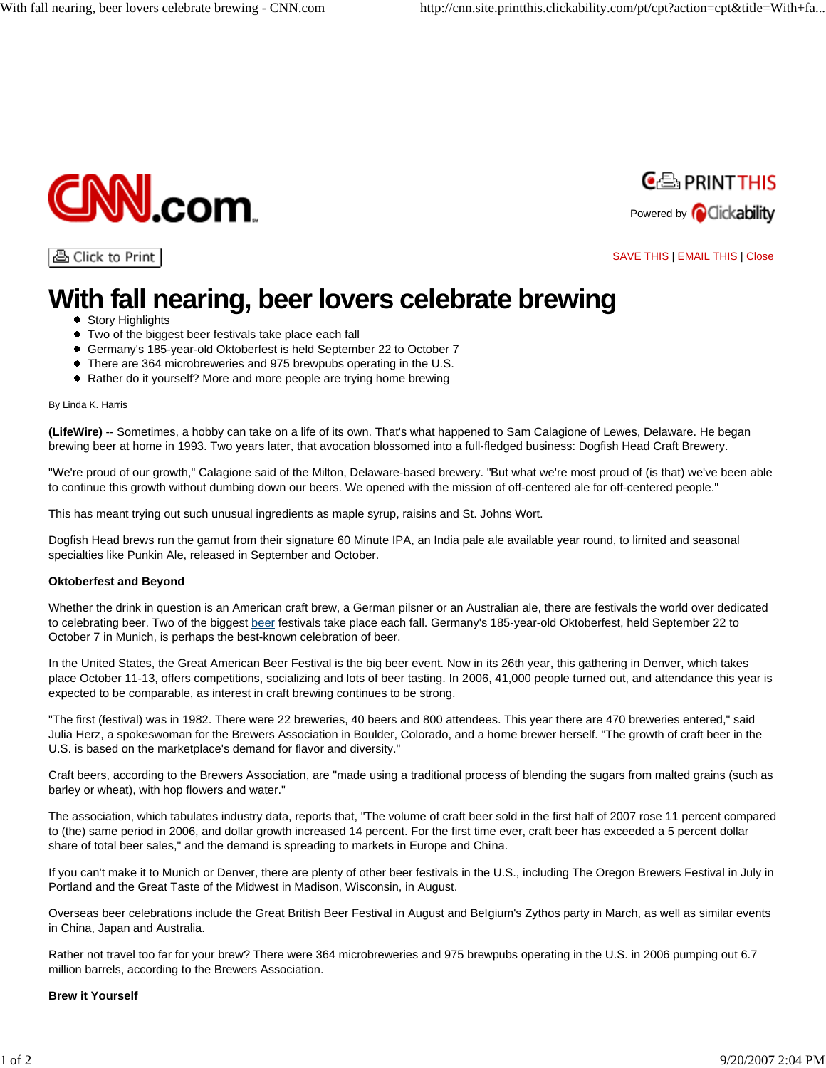



습 Click to Print

## SAVE THIS | EMAIL THIS | Close

# **With fall nearing, beer lovers celebrate brewing**

- Story Highlights
- Two of the biggest beer festivals take place each fall
- Germany's 185-year-old Oktoberfest is held September 22 to October 7
- There are 364 microbreweries and 975 brewpubs operating in the U.S.
- Rather do it yourself? More and more people are trying home brewing

#### By Linda K. Harris

**(LifeWire)** -- Sometimes, a hobby can take on a life of its own. That's what happened to Sam Calagione of Lewes, Delaware. He began brewing beer at home in 1993. Two years later, that avocation blossomed into a full-fledged business: Dogfish Head Craft Brewery.

"We're proud of our growth," Calagione said of the Milton, Delaware-based brewery. "But what we're most proud of (is that) we've been able to continue this growth without dumbing down our beers. We opened with the mission of off-centered ale for off-centered people."

This has meant trying out such unusual ingredients as maple syrup, raisins and St. Johns Wort.

Dogfish Head brews run the gamut from their signature 60 Minute IPA, an India pale ale available year round, to limited and seasonal specialties like Punkin Ale, released in September and October.

### **Oktoberfest and Beyond**

Whether the drink in question is an American craft brew, a German pilsner or an Australian ale, there are festivals the world over dedicated to celebrating beer. Two of the biggest beer festivals take place each fall. Germany's 185-year-old Oktoberfest, held September 22 to October 7 in Munich, is perhaps the best-known celebration of beer.

In the United States, the Great American Beer Festival is the big beer event. Now in its 26th year, this gathering in Denver, which takes place October 11-13, offers competitions, socializing and lots of beer tasting. In 2006, 41,000 people turned out, and attendance this year is expected to be comparable, as interest in craft brewing continues to be strong.

"The first (festival) was in 1982. There were 22 breweries, 40 beers and 800 attendees. This year there are 470 breweries entered," said Julia Herz, a spokeswoman for the Brewers Association in Boulder, Colorado, and a home brewer herself. "The growth of craft beer in the U.S. is based on the marketplace's demand for flavor and diversity."

Craft beers, according to the Brewers Association, are "made using a traditional process of blending the sugars from malted grains (such as barley or wheat), with hop flowers and water."

The association, which tabulates industry data, reports that, "The volume of craft beer sold in the first half of 2007 rose 11 percent compared to (the) same period in 2006, and dollar growth increased 14 percent. For the first time ever, craft beer has exceeded a 5 percent dollar share of total beer sales," and the demand is spreading to markets in Europe and China.

If you can't make it to Munich or Denver, there are plenty of other beer festivals in the U.S., including The Oregon Brewers Festival in July in Portland and the Great Taste of the Midwest in Madison, Wisconsin, in August.

Overseas beer celebrations include the Great British Beer Festival in August and Belgium's Zythos party in March, as well as similar events in China, Japan and Australia.

Rather not travel too far for your brew? There were 364 microbreweries and 975 brewpubs operating in the U.S. in 2006 pumping out 6.7 million barrels, according to the Brewers Association.

### **Brew it Yourself**